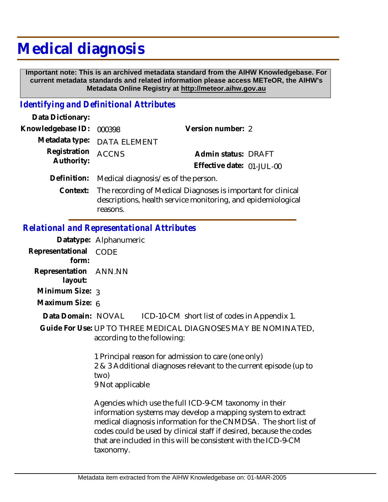## **Medical diagnosis**

 **Important note: This is an archived metadata standard from the AIHW Knowledgebase. For current metadata standards and related information please access METeOR, the AIHW's Metadata Online Registry at http://meteor.aihw.gov.au**

## *Identifying and Definitional Attributes*

| Data Dictionary:         |                                                                                                                                                           |                           |  |
|--------------------------|-----------------------------------------------------------------------------------------------------------------------------------------------------------|---------------------------|--|
| Knowledgebase ID: 000398 |                                                                                                                                                           | Version number: 2         |  |
|                          | Metadata type: DATA ELEMENT                                                                                                                               |                           |  |
| Registration ACCNS       |                                                                                                                                                           | Admin status: DRAFT       |  |
| Authority:               |                                                                                                                                                           | Effective date: 01-JUL-00 |  |
|                          | Definition: Medical diagnosis/es of the person.                                                                                                           |                           |  |
|                          | $\alpha$ and a collective and the set of $\alpha$ and $\alpha$ and $\alpha$ and $\alpha$ and $\alpha$ and $\alpha$ and $\alpha$ and $\alpha$ and $\alpha$ |                           |  |

Context: The recording of Medical Diagnoses is important for clinical descriptions, health service monitoring, and epidemiological reasons.

## *Relational and Representational Attributes*

|                                  | Datatype: Alphanumeric                                                                                                                                                                                                                                                                                                                         |  |
|----------------------------------|------------------------------------------------------------------------------------------------------------------------------------------------------------------------------------------------------------------------------------------------------------------------------------------------------------------------------------------------|--|
| Representational<br>form:        | CODE                                                                                                                                                                                                                                                                                                                                           |  |
| Representation ANN.NN<br>layout: |                                                                                                                                                                                                                                                                                                                                                |  |
| Minimum Size: 3                  |                                                                                                                                                                                                                                                                                                                                                |  |
| Maximum Size: 6                  |                                                                                                                                                                                                                                                                                                                                                |  |
|                                  | Data Domain: NOVAL ICD-10-CM short list of codes in Appendix 1.                                                                                                                                                                                                                                                                                |  |
|                                  | Guide For Use: UP TO THREE MEDICAL DIAGNOSES MAY BE NOMINATED,<br>according to the following:                                                                                                                                                                                                                                                  |  |
|                                  | 1 Principal reason for admission to care (one only)<br>2 & 3 Additional diagnoses relevant to the current episode (up to<br>two)<br>9 Not applicable                                                                                                                                                                                           |  |
|                                  | Agencies which use the full ICD-9-CM taxonomy in their<br>information systems may develop a mapping system to extract<br>medical diagnosis information for the CNMDSA. The short list of<br>codes could be used by clinical staff if desired, because the codes<br>that are included in this will be consistent with the ICD-9-CM<br>taxonomy. |  |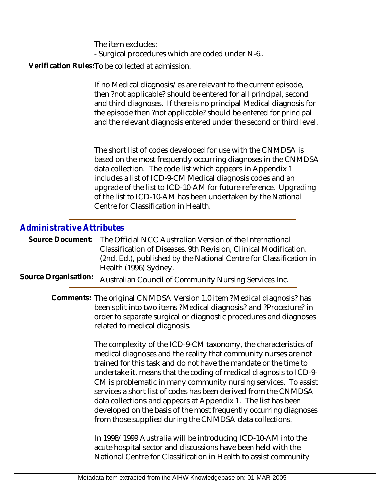The item excludes: - Surgical procedures which are coded under N-6..

Verification Rules:To be collected at admission.

If no Medical diagnosis/es are relevant to the current episode, then ?not applicable? should be entered for all principal, second and third diagnoses. If there is no principal Medical diagnosis for the episode then ?not applicable? should be entered for principal and the relevant diagnosis entered under the second or third level.

The short list of codes developed for use with the CNMDSA is based on the most frequently occurring diagnoses in the CNMDSA data collection. The code list which appears in Appendix 1 includes a list of ICD-9-CM Medical diagnosis codes and an upgrade of the list to ICD-10-AM for future reference. Upgrading of the list to ICD-10-AM has been undertaken by the National Centre for Classification in Health.

## *Administrative Attributes*

|  | Source Document: The Official NCC Australian Version of the International |
|--|---------------------------------------------------------------------------|
|  | Classification of Diseases, 9th Revision, Clinical Modification.          |
|  | (2nd. Ed.), published by the National Centre for Classification in        |
|  | Health (1996) Sydney.                                                     |

Source Organisation: Australian Council of Community Nursing Services Inc.

Comments: The original CNMDSA Version 1.0 item ?Medical diagnosis? has been split into two items ?Medical diagnosis? and ?Procedure? in order to separate surgical or diagnostic procedures and diagnoses related to medical diagnosis.

> The complexity of the ICD-9-CM taxonomy, the characteristics of medical diagnoses and the reality that community nurses are not trained for this task and do not have the mandate or the time to undertake it, means that the coding of medical diagnosis to ICD-9- CM is problematic in many community nursing services. To assist services a short list of codes has been derived from the CNMDSA data collections and appears at Appendix 1. The list has been developed on the basis of the most frequently occurring diagnoses from those supplied during the CNMDSA data collections.

In 1998/1999 Australia will be introducing ICD-10-AM into the acute hospital sector and discussions have been held with the National Centre for Classification in Health to assist community